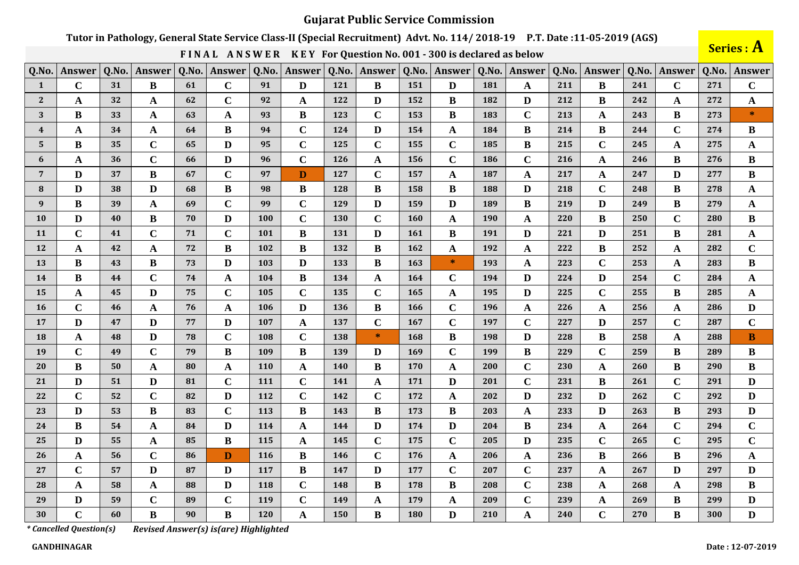## Tutor in Pathology, General State Service Class-II (Special Recruitment) Advt. No. 114/2018-19 P.T. Date:11-05-2019 (AGS)

FINAL ANSWER KEY For Question No. 001 - 300 is declared as below

Series : A

| Q.No.            | Answer      | Q.No. | Answer       | Q.No. | Answer       | Q.No.      | Answer      | Q.No.      | Answer      | Q.No. | <b>Answer</b> | Q.No. | Answer       | Q.No. | Answer       | Q.No. | <b>Answer</b> | Q.No. | <b>Answer</b> |
|------------------|-------------|-------|--------------|-------|--------------|------------|-------------|------------|-------------|-------|---------------|-------|--------------|-------|--------------|-------|---------------|-------|---------------|
| 1                | $\mathbf C$ | 31    | B            | 61    | $\mathbf C$  | 91         | D           | 121        | B           | 151   | D             | 181   | A            | 211   | B            | 241   | $\mathbf C$   | 271   | $\mathbf C$   |
| $\mathbf{2}$     | A           | 32    | A            | 62    | $\mathbf C$  | 92         | A           | 122        | D           | 152   | B             | 182   | D            | 212   | B            | 242   | A             | 272   | A             |
| 3                | B           | 33    | $\mathbf{A}$ | 63    | $\mathbf A$  | 93         | B           | 123        | $\mathbf C$ | 153   | $\bf{B}$      | 183   | $\mathbf C$  | 213   | A            | 243   | B             | 273   | $\ast$        |
| $\boldsymbol{4}$ | $\mathbf A$ | 34    | A            | 64    | $\bf{B}$     | 94         | $\mathbf C$ | 124        | D           | 154   | $\mathbf{A}$  | 184   | $\bf{B}$     | 214   | $\bf{B}$     | 244   | $\mathbf C$   | 274   | B             |
| 5                | B           | 35    | $\mathbf C$  | 65    | $\mathbf{D}$ | 95         | $\bf C$     | 125        | $\mathbf C$ | 155   | $\mathbf C$   | 185   | $\bf{B}$     | 215   | $\mathbf C$  | 245   | A             | 275   | $\mathbf A$   |
| 6                | A           | 36    | $\mathbf{C}$ | 66    | $\mathbf{D}$ | 96         | $\mathbf C$ | 126        | A           | 156   | $\mathbf C$   | 186   | $\mathbf C$  | 216   | A            | 246   | B             | 276   | $\bf{B}$      |
| $7\overline{ }$  | D           | 37    | B            | 67    | $\mathbf C$  | 97         | D           | 127        | $\mathbf C$ | 157   | A             | 187   | $\mathbf{A}$ | 217   | A            | 247   | D             | 277   | B             |
| 8                | D           | 38    | D            | 68    | $\bf{B}$     | 98         | $\bf{B}$    | 128        | B           | 158   | $\bf{B}$      | 188   | D            | 218   | $\mathbf C$  | 248   | B             | 278   | $\mathbf{A}$  |
| 9                | B           | 39    | A            | 69    | $\mathbf C$  | 99         | $\mathbf C$ | 129        | D           | 159   | D             | 189   | $\bf{B}$     | 219   | D            | 249   | B             | 279   | $\mathbf A$   |
| 10               | D           | 40    | B            | 70    | D            | 100        | $\bf C$     | 130        | $\mathbf C$ | 160   | $\mathbf{A}$  | 190   | $\mathbf A$  | 220   | B            | 250   | $\mathbf C$   | 280   | $\bf{B}$      |
| 11               | $\mathbf C$ | 41    | $\mathbf C$  | 71    | $\mathbf C$  | 101        | B           | 131        | D           | 161   | B             | 191   | D            | 221   | D            | 251   | B             | 281   | $\mathbf{A}$  |
| 12               | $\mathbf A$ | 42    | $\mathbf{A}$ | 72    | $\bf{B}$     | 102        | B           | 132        | $\bf{B}$    | 162   | $\mathbf{A}$  | 192   | $\mathbf A$  | 222   | B            | 252   | A             | 282   | $\mathbf C$   |
| 13               | B           | 43    | $\bf{B}$     | 73    | D            | 103        | D           | 133        | $\bf{B}$    | 163   | $\ast$        | 193   | $\mathbf A$  | 223   | $\mathbf C$  | 253   | A             | 283   | $\bf{B}$      |
| 14               | B           | 44    | $\mathbf C$  | 74    | $\mathbf A$  | 104        | $\bf{B}$    | 134        | A           | 164   | $\mathbf C$   | 194   | $\mathbf{D}$ | 224   | $\mathbf{D}$ | 254   | $\mathbf C$   | 284   | $\mathbf A$   |
| 15               | A           | 45    | D            | 75    | $\mathbf C$  | 105        | $\mathbf C$ | 135        | $\mathbf C$ | 165   | A             | 195   | D            | 225   | $\mathbf C$  | 255   | B             | 285   | A             |
| <b>16</b>        | $\mathbf C$ | 46    | $\mathbf{A}$ | 76    | $\mathbf{A}$ | 106        | D           | 136        | B           | 166   | $\mathbf C$   | 196   | $\mathbf A$  | 226   | A            | 256   | A             | 286   | D             |
| 17               | D           | 47    | D            | 77    | $\mathbf{D}$ | 107        | A           | 137        | $\mathbf C$ | 167   | $\mathbf C$   | 197   | $\bf C$      | 227   | D            | 257   | $\mathbf C$   | 287   | $\mathbf C$   |
| 18               | $\mathbf A$ | 48    | D            | 78    | $\mathbf C$  | 108        | $\mathbf C$ | 138        | $\ast$      | 168   | $\bf{B}$      | 198   | D            | 228   | B            | 258   | $\mathbf{A}$  | 288   | $\bf{B}$      |
| 19               | $\mathbf C$ | 49    | $\mathbf C$  | 79    | $\bf{B}$     | 109        | $\bf{B}$    | 139        | D           | 169   | $\mathbf C$   | 199   | $\, {\bf B}$ | 229   | $\mathbf C$  | 259   | B             | 289   | $\bf{B}$      |
| 20               | B           | 50    | A            | 80    | $\mathbf A$  | <b>110</b> | A           | <b>140</b> | $\bf{B}$    | 170   | A             | 200   | $\mathbf C$  | 230   | A            | 260   | B             | 290   | B             |
| 21               | D           | 51    | D            | 81    | $\mathbf C$  | 111        | $\mathbf C$ | 141        | A           | 171   | D             | 201   | $\mathbf C$  | 231   | B            | 261   | $\mathbf C$   | 291   | D             |
| 22               | $\mathbf C$ | 52    | $\mathbf C$  | 82    | D            | 112        | $\mathbf C$ | 142        | $\mathbf C$ | 172   | A             | 202   | D            | 232   | D            | 262   | $\mathbf C$   | 292   | D             |
| 23               | D           | 53    | $\bf{B}$     | 83    | $\mathbf C$  | 113        | B           | 143        | B           | 173   | $\bf{B}$      | 203   | $\mathbf A$  | 233   | D            | 263   | B             | 293   | D             |
| 24               | $\bf{B}$    | 54    | A            | 84    | $\mathbf{D}$ | 114        | A           | 144        | D           | 174   | D             | 204   | $\, {\bf B}$ | 234   | A            | 264   | $\mathbf C$   | 294   | $\mathbf C$   |
| 25               | D           | 55    | $\mathbf{A}$ | 85    | $\, {\bf B}$ | 115        | A           | 145        | $\mathbf C$ | 175   | $\mathbf C$   | 205   | D            | 235   | $\mathbf C$  | 265   | $\mathbf C$   | 295   | $\mathbf C$   |
| 26               | $\mathbf A$ | 56    | $\mathbf C$  | 86    | D            | 116        | B           | 146        | $\mathbf C$ | 176   | $\mathbf{A}$  | 206   | $\mathbf{A}$ | 236   | B            | 266   | B             | 296   | $\mathbf{A}$  |
| 27               | $\mathbf C$ | 57    | D            | 87    | D            | 117        | B           | 147        | D           | 177   | $\mathbf C$   | 207   | $\mathbf C$  | 237   | A            | 267   | D             | 297   | D             |
| 28               | $\mathbf A$ | 58    | A            | 88    | $\mathbf{D}$ | 118        | $\mathbf C$ | 148        | B           | 178   | $\bf{B}$      | 208   | $\mathbf C$  | 238   | A            | 268   | A             | 298   | B             |
| 29               | D           | 59    | $\mathbf C$  | 89    | $\mathbf C$  | 119        | $\mathbf C$ | 149        | A           | 179   | $\mathbf{A}$  | 209   | $\mathbf C$  | 239   | A            | 269   | B             | 299   | D             |
| 30               | $\mathbf C$ | 60    | B            | 90    | $\bf{B}$     | 120        | A           | 150        | $\bf{B}$    | 180   | D             | 210   | $\mathbf{A}$ | 240   | $\mathbf C$  | 270   | $\bf{B}$      | 300   | $\mathbf{D}$  |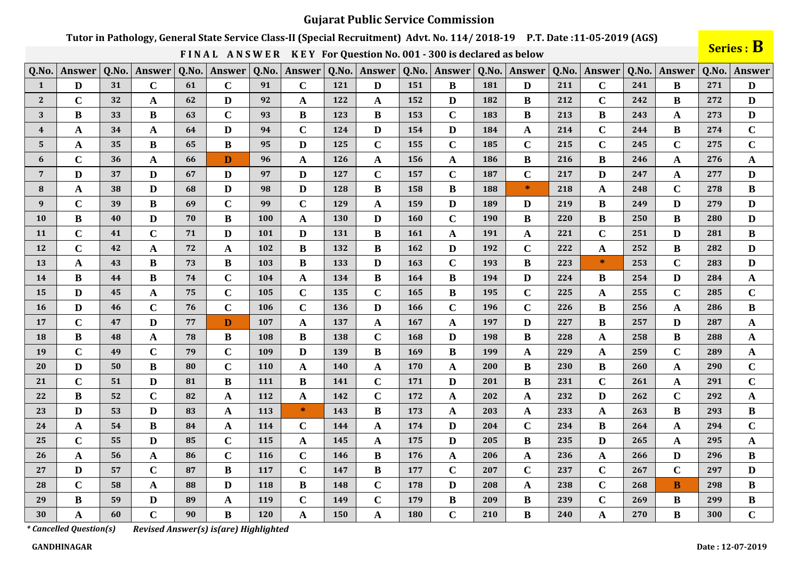# Tutor in Pathology, General State Service Class-II (Special Recruitment) Advt. No. 114/2018-19 P.T. Date:11-05-2019 (AGS)

FINAL ANSWER KEY For Question No. 001 - 300 is declared as below

Series : B

| Q.No.            | Answer      | Q.No. | Answer       | Q.No. | Answer       | Q.No.      | Answer       | Q.No.      | Answer       | Q.No.      | Answer       | Q.No. | Answer       | Q.No. | <b>Answer</b> | Q.No. | <b>Answer</b> | Q.No. | Answer       |
|------------------|-------------|-------|--------------|-------|--------------|------------|--------------|------------|--------------|------------|--------------|-------|--------------|-------|---------------|-------|---------------|-------|--------------|
| 1                | D           | 31    | $\mathbf C$  | 61    | $\mathbf C$  | 91         | $\mathbf C$  | 121        | D            | 151        | B            | 181   | D            | 211   | $\mathbf C$   | 241   | B             | 271   | D            |
| $\mathbf{2}$     | $\mathbf C$ | 32    | A            | 62    | D            | 92         | A            | 122        | A            | 152        | D            | 182   | B            | 212   | $\mathbf C$   | 242   | B             | 272   | D            |
| 3                | B           | 33    | $\bf{B}$     | 63    | $\mathbf C$  | 93         | B            | 123        | B            | 153        | $\mathbf C$  | 183   | B            | 213   | B             | 243   | $\mathbf{A}$  | 273   | D            |
| $\boldsymbol{4}$ | $\mathbf A$ | 34    | A            | 64    | $\mathbf{D}$ | 94         | $\mathbf C$  | 124        | D            | 154        | $\mathbf{D}$ | 184   | $\mathbf A$  | 214   | $\mathbf C$   | 244   | $\bf{B}$      | 274   | $\mathbf C$  |
| $5^{\circ}$      | A           | 35    | $\bf{B}$     | 65    | $\bf{B}$     | 95         | D            | 125        | $\mathbf C$  | 155        | $\mathbf C$  | 185   | $\mathbf C$  | 215   | $\mathbf C$   | 245   | $\mathbf C$   | 275   | $\mathbf C$  |
| 6                | $\mathbf C$ | 36    | A            | 66    | $\mathbf{D}$ | 96         | A            | <b>126</b> | $\mathbf A$  | 156        | A            | 186   | $\bf{B}$     | 216   | $\bf{B}$      | 246   | A             | 276   | $\mathbf A$  |
| $\overline{7}$   | D           | 37    | D            | 67    | D            | 97         | D            | 127        | $\mathbf C$  | 157        | $\mathbf C$  | 187   | $\mathbf C$  | 217   | D             | 247   | A             | 277   | D            |
| 8                | A           | 38    | D            | 68    | D            | 98         | D            | 128        | B            | 158        | $\bf{B}$     | 188   | $\ast$       | 218   | $\mathbf{A}$  | 248   | $\mathbf C$   | 278   | $\bf{B}$     |
| 9                | $\mathbf C$ | 39    | B            | 69    | $\mathbf C$  | 99         | $\mathbf C$  | 129        | A            | 159        | D            | 189   | D            | 219   | B             | 249   | D             | 279   | D            |
| 10               | $\bf{B}$    | 40    | D            | 70    | $\bf{B}$     | 100        | $\mathbf{A}$ | 130        | D            | 160        | $\mathbf C$  | 190   | $\bf{B}$     | 220   | B             | 250   | B             | 280   | D            |
| 11               | $\mathbf C$ | 41    | $\mathbf C$  | 71    | $\mathbf{D}$ | 101        | D            | 131        | $\bf{B}$     | <b>161</b> | $\mathbf{A}$ | 191   | $\mathbf A$  | 221   | $\mathbf C$   | 251   | D             | 281   | $\bf{B}$     |
| 12               | $\mathbf C$ | 42    | A            | 72    | $\mathbf A$  | 102        | B            | 132        | $\bf{B}$     | 162        | D            | 192   | $\mathbf C$  | 222   | $\mathbf{A}$  | 252   | $\bf{B}$      | 282   | D            |
| 13               | A           | 43    | $\bf{B}$     | 73    | $\, {\bf B}$ | 103        | B            | 133        | D            | 163        | $\mathbf C$  | 193   | $\bf{B}$     | 223   | $\ast$        | 253   | $\mathbf C$   | 283   | D            |
| 14               | $\bf{B}$    | 44    | B            | 74    | $\mathbf C$  | 104        | A            | 134        | $\bf{B}$     | 164        | $\bf{B}$     | 194   | $\mathbf{D}$ | 224   | $\bf{B}$      | 254   | D             | 284   | $\mathbf A$  |
| 15               | D           | 45    | A            | 75    | $\mathbf C$  | 105        | $\mathbf C$  | 135        | $\mathbf C$  | 165        | B            | 195   | $\mathbf C$  | 225   | A             | 255   | $\mathbf C$   | 285   | $\mathbf C$  |
| <b>16</b>        | D           | 46    | $\mathbf C$  | 76    | $\mathbf C$  | 106        | $\mathbf C$  | 136        | D            | 166        | $\mathbf C$  | 196   | $\mathbf C$  | 226   | B             | 256   | $\mathbf{A}$  | 286   | B            |
| 17               | $\mathbf C$ | 47    | D            | 77    | $\mathbf{D}$ | 107        | A            | 137        | A            | 167        | $\mathbf{A}$ | 197   | D            | 227   | $\bf{B}$      | 257   | D             | 287   | $\mathbf{A}$ |
| 18               | B           | 48    | $\mathbf{A}$ | 78    | $\bf{B}$     | 108        | B            | 138        | $\mathbf C$  | 168        | D            | 198   | $\bf{B}$     | 228   | $\mathbf{A}$  | 258   | B             | 288   | $\mathbf{A}$ |
| 19               | $\mathbf C$ | 49    | $\mathbf C$  | 79    | $\mathbf C$  | 109        | D            | 139        | $\bf{B}$     | 169        | $\bf{B}$     | 199   | $\mathbf A$  | 229   | $\mathbf{A}$  | 259   | $\mathbf C$   | 289   | $\mathbf A$  |
| 20               | D           | 50    | $\bf{B}$     | 80    | $\mathbf C$  | <b>110</b> | A            | <b>140</b> | A            | 170        | A            | 200   | $\bf{B}$     | 230   | B             | 260   | A             | 290   | $\mathbf C$  |
| 21               | $\mathbf C$ | 51    | D            | 81    | $\bf{B}$     | 111        | B            | 141        | $\mathbf C$  | 171        | D            | 201   | $\bf{B}$     | 231   | $\mathbf C$   | 261   | A             | 291   | $\mathbf C$  |
| 22               | B           | 52    | $\mathbf C$  | 82    | $\mathbf A$  | 112        | A            | 142        | $\mathbf C$  | 172        | A            | 202   | A            | 232   | D             | 262   | $\mathbf C$   | 292   | $\mathbf{A}$ |
| 23               | D           | 53    | D            | 83    | $\mathbf A$  | 113        | $\ast$       | 143        | B            | 173        | A            | 203   | $\mathbf A$  | 233   | A             | 263   | B             | 293   | $\bf{B}$     |
| 24               | $\mathbf A$ | 54    | B            | 84    | $\mathbf A$  | 114        | $\mathbf C$  | 144        | $\mathbf A$  | 174        | D            | 204   | $\mathbf C$  | 234   | $\bf{B}$      | 264   | A             | 294   | $\mathbf C$  |
| 25               | $\mathbf C$ | 55    | D            | 85    | $\mathbf C$  | 115        | $\mathbf{A}$ | 145        | $\mathbf{A}$ | 175        | D            | 205   | $\bf{B}$     | 235   | D             | 265   | $\mathbf{A}$  | 295   | $\mathbf A$  |
| 26               | $\mathbf A$ | 56    | $\mathbf{A}$ | 86    | $\mathbf C$  | 116        | $\mathbf C$  | 146        | B            | 176        | $\mathbf{A}$ | 206   | $\mathbf A$  | 236   | A             | 266   | D             | 296   | $\bf{B}$     |
| 27               | D           | 57    | $\mathbf C$  | 87    | $\bf{B}$     | 117        | $\mathbf C$  | 147        | $\bf{B}$     | 177        | $\mathbf C$  | 207   | $\mathbf C$  | 237   | $\mathbf C$   | 267   | $\mathbf C$   | 297   | D            |
| 28               | $\mathbf C$ | 58    | A            | 88    | $\mathbf D$  | 118        | $\bf{B}$     | 148        | $\mathbf C$  | 178        | $\mathbf{D}$ | 208   | $\mathbf A$  | 238   | $\mathbf C$   | 268   | <b>B</b>      | 298   | $\bf{B}$     |
| 29               | B           | 59    | D            | 89    | $\mathbf A$  | 119        | $\mathbf C$  | 149        | $\mathbf C$  | 179        | $\bf{B}$     | 209   | $\bf{B}$     | 239   | $\mathbf C$   | 269   | $\bf{B}$      | 299   | $\bf{B}$     |
| 30               | A           | 60    | $\mathbf C$  | 90    | $\bf{B}$     | 120        | A            | 150        | A            | 180        | $\mathbf{C}$ | 210   | $\bf{B}$     | 240   | A             | 270   | $\bf{B}$      | 300   | $\mathbf C$  |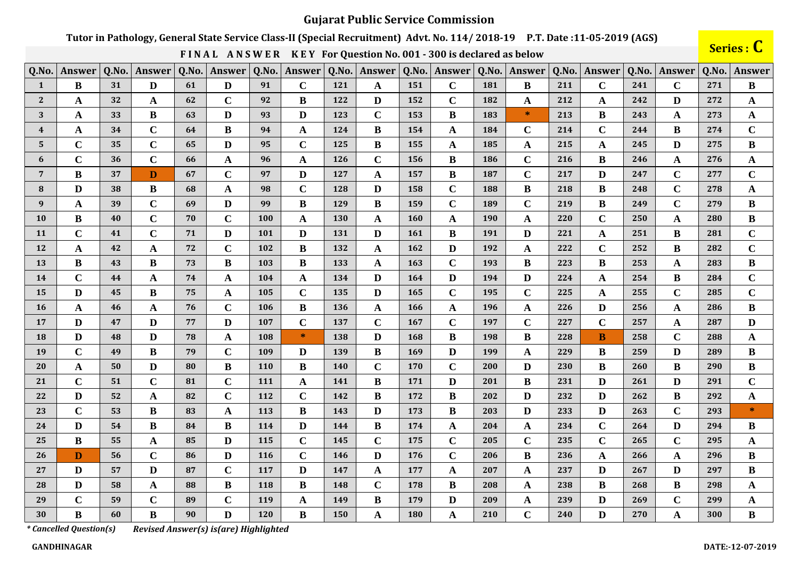# Tutor in Pathology, General State Service Class-II (Special Recruitment) Advt. No. 114/2018-19 P.T. Date:11-05-2019 (AGS)

FINAL ANSWER KEY For Question No. 001 - 300 is declared as below

Series : C

| Q.No.                   | Answer       | Q.No. | Answer       | Q.No. | Answer         | Q.No. | Answer      | Q.No. | <b>Answer</b> | Q.No. | Answer       | Q.No. | Answer      | Q.No. | <b>Answer</b> | Q.No. | <b>Answer</b> | Q.No. | <b>Answer</b>                                     |
|-------------------------|--------------|-------|--------------|-------|----------------|-------|-------------|-------|---------------|-------|--------------|-------|-------------|-------|---------------|-------|---------------|-------|---------------------------------------------------|
| 1                       | B            | 31    | D            | 61    | D              | 91    | $\mathbf C$ | 121   | $\mathbf{A}$  | 151   | $\mathbf C$  | 181   | B           | 211   | $\mathbf C$   | 241   | $\mathbf C$   | 271   | B                                                 |
| $\mathbf{2}$            | A            | 32    | A            | 62    | $\mathbf C$    | 92    | B           | 122   | D             | 152   | $\mathbf C$  | 182   | A           | 212   | A             | 242   | D             | 272   | A                                                 |
| 3                       | A            | 33    | B            | 63    | $\mathbf{D}$   | 93    | D           | 123   | $\mathbf C$   | 153   | B            | 183   | $\ast$      | 213   | $\bf{B}$      | 243   | $\mathbf{A}$  | 273   | $\mathbf A$                                       |
| $\overline{\mathbf{4}}$ | $\mathbf A$  | 34    | $\mathbf C$  | 64    | $\bf{B}$       | 94    | $\mathbf A$ | 124   | B             | 154   | A            | 184   | $\mathbf C$ | 214   | $\mathbf C$   | 244   | B             | 274   | $\mathbf C$                                       |
| 5                       | $\mathbf C$  | 35    | $\mathbf C$  | 65    | $\mathbf{D}$   | 95    | $\mathbf C$ | 125   | B             | 155   | A            | 185   | $\mathbf A$ | 215   | $\mathbf{A}$  | 245   | D             | 275   | $\bf{B}$                                          |
| 6                       | $\mathbf C$  | 36    | $\mathbf C$  | 66    | $\mathbf{A}$   | 96    | A           | 126   | $\mathbf C$   | 156   | $\bf{B}$     | 186   | $\mathbf C$ | 216   | $\bf{B}$      | 246   | A             | 276   | $\mathbf A$                                       |
| $\overline{7}$          | $\bf{B}$     | 37    | D            | 67    | $\mathbf C$    | 97    | D           | 127   | A             | 157   | B            | 187   | $\mathbf C$ | 217   | D             | 247   | $\mathbf C$   | 277   | $\mathbf C$                                       |
| 8                       | D            | 38    | B            | 68    | $\mathbf{A}$   | 98    | $\mathbf C$ | 128   | D             | 158   | $\mathbf C$  | 188   | $\bf{B}$    | 218   | B             | 248   | $\mathbf C$   | 278   | $\mathbf A$                                       |
| 9                       | A            | 39    | $\mathbf C$  | 69    | $\mathbf{D}$   | 99    | $\bf{B}$    | 129   | B             | 159   | $\mathbf{C}$ | 189   | $\mathbf C$ | 219   | $\bf{B}$      | 249   | $\mathbf C$   | 279   | $\bf{B}$                                          |
| <b>10</b>               | B            | 40    | $\mathbf C$  | 70    | $\mathbf C$    | 100   | A           | 130   | A             | 160   | A            | 190   | $\mathbf A$ | 220   | $\mathbf C$   | 250   | A             | 280   | $\bf{B}$                                          |
| <b>11</b>               | $\mathbf C$  | 41    | $\mathbf C$  | 71    | $\mathbf{D}$   | 101   | D           | 131   | D             | 161   | $\bf{B}$     | 191   | D           | 221   | A             | 251   | B             | 281   | $\mathbf C$                                       |
| 12                      | $\mathbf A$  | 42    | A            | 72    | $\mathbf C$    | 102   | $\bf{B}$    | 132   | $\mathbf{A}$  | 162   | D            | 192   | $\mathbf A$ | 222   | $\mathbf C$   | 252   | $\bf{B}$      | 282   | $\mathbf C$                                       |
| 13                      | B            | 43    | B            | 73    | $\, {\bf B}$   | 103   | B           | 133   | A             | 163   | $\mathbf C$  | 193   | $\bf{B}$    | 223   | B             | 253   | A             | 283   | $\bf{B}$                                          |
| 14                      | $\mathbf C$  | 44    | A            | 74    | $\mathbf{A}$   | 104   | A           | 134   | D             | 164   | D            | 194   | D           | 224   | $\mathbf A$   | 254   | $\bf{B}$      | 284   | $\mathbf C$                                       |
| 15                      | D            | 45    | B            | 75    | $\mathbf{A}$   | 105   | $\mathbf C$ | 135   | D             | 165   | $\mathbf C$  | 195   | $\mathbf C$ | 225   | A             | 255   | $\mathbf C$   | 285   | $\mathbf C$                                       |
| <b>16</b>               | $\mathbf{A}$ | 46    | A            | 76    | $\mathbf C$    | 106   | B           | 136   | $\mathbf{A}$  | 166   | $\mathbf{A}$ | 196   | $\mathbf A$ | 226   | D             | 256   | $\mathbf{A}$  | 286   | $\bf{B}$                                          |
| 17                      | D            | 47    | D            | 77    | $\mathbf{D}$   | 107   | $\mathbf C$ | 137   | $\mathbf C$   | 167   | $\mathbf C$  | 197   | $\mathbf C$ | 227   | $\mathbf C$   | 257   | A             | 287   | $\mathbf{D}$                                      |
| 18                      | D            | 48    | D            | 78    | $\mathbf A$    | 108   | $\ast$      | 138   | D             | 168   | $\bf{B}$     | 198   | $\bf{B}$    | 228   | B             | 258   | $\mathbf C$   | 288   | $\mathbf A$                                       |
| 19                      | $\mathbf C$  | 49    | $\bf{B}$     | 79    | $\mathbf C$    | 109   | D           | 139   | $\bf{B}$      | 169   | D            | 199   | $\mathbf A$ | 229   | $\bf{B}$      | 259   | D             | 289   | $\, {\bf B}$                                      |
| 20                      | A            | 50    | D            | 80    | $\bf{B}$       | 110   | B           | 140   | $\mathbf C$   | 170   | $\mathbf C$  | 200   | D           | 230   | $\bf{B}$      | 260   | B             | 290   | $\bf{B}$                                          |
| 21                      | $\mathbf C$  | 51    | $\mathbf C$  | 81    | $\mathbf C$    | 111   | A           | 141   | B             | 171   | D            | 201   | $\bf{B}$    | 231   | D             | 261   | D             | 291   | $\mathbf C$                                       |
| 22                      | D            | 52    | A            | 82    | $\overline{C}$ | 112   | $\mathbf C$ | 142   | B             | 172   | B            | 202   | D           | 232   | D             | 262   | B             | 292   | $\mathbf{A}$                                      |
| 23                      | $\mathbf C$  | 53    | B            | 83    | $\mathbf A$    | 113   | B           | 143   | D             | 173   | B            | 203   | D           | 233   | D             | 263   | $\mathbf C$   | 293   | $\frac{\partial \mathbf{r}}{\partial \mathbf{r}}$ |
| 24                      | D            | 54    | B            | 84    | $\, {\bf B}$   | 114   | D           | 144   | $\bf{B}$      | 174   | $\mathbf A$  | 204   | $\mathbf A$ | 234   | $\mathbf C$   | 264   | D             | 294   | $\bf{B}$                                          |
| 25                      | B            | 55    | $\mathbf{A}$ | 85    | $\mathbf D$    | 115   | $\mathbf C$ | 145   | $\mathbf C$   | 175   | $\mathbf C$  | 205   | $\mathbf C$ | 235   | $\mathbf C$   | 265   | $\mathbf C$   | 295   | $\mathbf A$                                       |
| 26                      | D            | 56    | $\mathbf C$  | 86    | $\mathbf{D}$   | 116   | $\mathbf C$ | 146   | D             | 176   | $\mathbf C$  | 206   | $\bf{B}$    | 236   | A             | 266   | A             | 296   | $\bf{B}$                                          |
| 27                      | D            | 57    | D            | 87    | $\mathbf C$    | 117   | D           | 147   | A             | 177   | A            | 207   | $\mathbf A$ | 237   | D             | 267   | D             | 297   | $\bf{B}$                                          |
| 28                      | D            | 58    | A            | 88    | $\, {\bf B}$   | 118   | B           | 148   | $\mathbf C$   | 178   | $\bf{B}$     | 208   | $\mathbf A$ | 238   | $\bf{B}$      | 268   | $\bf{B}$      | 298   | $\mathbf A$                                       |
| 29                      | $\mathbf C$  | 59    | $\mathbf C$  | 89    | $\mathbf C$    | 119   | A           | 149   | $\bf{B}$      | 179   | D            | 209   | $\mathbf A$ | 239   | D             | 269   | $\mathbf C$   | 299   | $\boldsymbol{\rm{A}}$                             |
| 30                      | $\bf{B}$     | 60    | $\bf{B}$     | 90    | $\mathbf{D}$   | 120   | $\bf{B}$    | 150   | A             | 180   | A            | 210   | $\mathbf C$ | 240   | D             | 270   | A             | 300   | $\bf{B}$                                          |